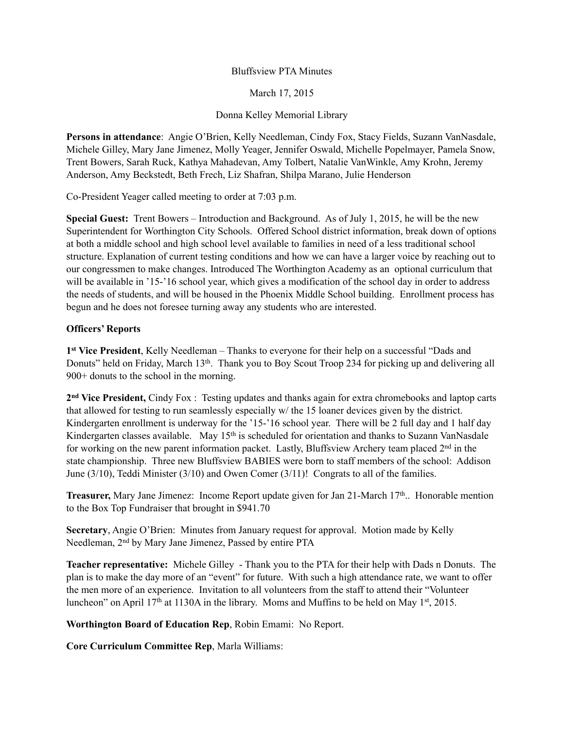## Bluffsview PTA Minutes

March 17, 2015

## Donna Kelley Memorial Library

**Persons in attendance**: Angie O'Brien, Kelly Needleman, Cindy Fox, Stacy Fields, Suzann VanNasdale, Michele Gilley, Mary Jane Jimenez, Molly Yeager, Jennifer Oswald, Michelle Popelmayer, Pamela Snow, Trent Bowers, Sarah Ruck, Kathya Mahadevan, Amy Tolbert, Natalie VanWinkle, Amy Krohn, Jeremy Anderson, Amy Beckstedt, Beth Frech, Liz Shafran, Shilpa Marano, Julie Henderson

Co-President Yeager called meeting to order at 7:03 p.m.

**Special Guest:** Trent Bowers – Introduction and Background. As of July 1, 2015, he will be the new Superintendent for Worthington City Schools. Offered School district information, break down of options at both a middle school and high school level available to families in need of a less traditional school structure. Explanation of current testing conditions and how we can have a larger voice by reaching out to our congressmen to make changes. Introduced The Worthington Academy as an optional curriculum that will be available in '15-'16 school year, which gives a modification of the school day in order to address the needs of students, and will be housed in the Phoenix Middle School building. Enrollment process has begun and he does not foresee turning away any students who are interested.

## **Officers' Reports**

**1st Vice President**, Kelly Needleman – Thanks to everyone for their help on a successful "Dads and Donuts" held on Friday, March 13<sup>th</sup>. Thank you to Boy Scout Troop 234 for picking up and delivering all 900+ donuts to the school in the morning.

**2nd Vice President,** Cindy Fox : Testing updates and thanks again for extra chromebooks and laptop carts that allowed for testing to run seamlessly especially w/ the 15 loaner devices given by the district. Kindergarten enrollment is underway for the '15-'16 school year. There will be 2 full day and 1 half day Kindergarten classes available. May 15<sup>th</sup> is scheduled for orientation and thanks to Suzann VanNasdale for working on the new parent information packet. Lastly, Bluffsview Archery team placed 2nd in the state championship. Three new Bluffsview BABIES were born to staff members of the school: Addison June (3/10), Teddi Minister (3/10) and Owen Comer (3/11)! Congrats to all of the families.

**Treasurer,** Mary Jane Jimenez: Income Report update given for Jan 21-March 17<sup>th</sup>.. Honorable mention to the Box Top Fundraiser that brought in \$941.70

**Secretary**, Angie O'Brien: Minutes from January request for approval. Motion made by Kelly Needleman, 2nd by Mary Jane Jimenez, Passed by entire PTA

**Teacher representative:** Michele Gilley - Thank you to the PTA for their help with Dads n Donuts. The plan is to make the day more of an "event" for future. With such a high attendance rate, we want to offer the men more of an experience. Invitation to all volunteers from the staff to attend their "Volunteer luncheon" on April 17<sup>th</sup> at 1130A in the library. Moms and Muffins to be held on May 1<sup>st</sup>, 2015.

**Worthington Board of Education Rep**, Robin Emami: No Report.

**Core Curriculum Committee Rep**, Marla Williams: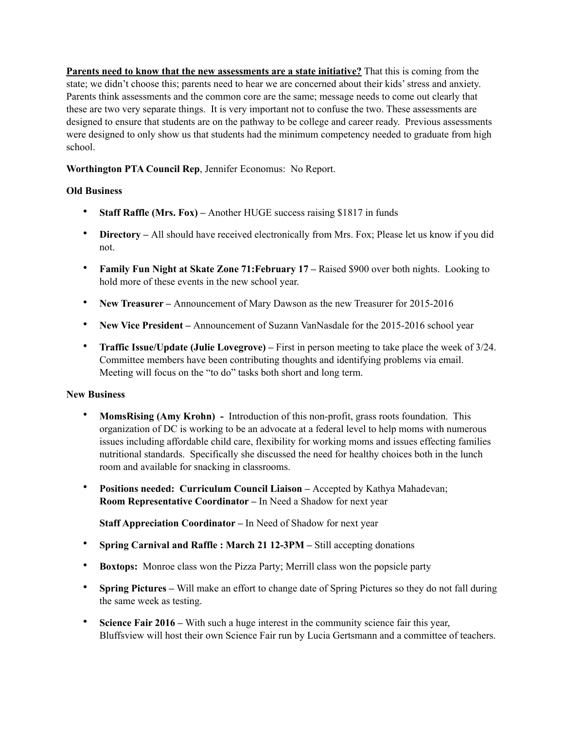**Parents need to know that the new assessments are a state initiative?** That this is coming from the state; we didn't choose this; parents need to hear we are concerned about their kids' stress and anxiety. Parents think assessments and the common core are the same; message needs to come out clearly that these are two very separate things. It is very important not to confuse the two. These assessments are designed to ensure that students are on the pathway to be college and career ready. Previous assessments were designed to only show us that students had the minimum competency needed to graduate from high school.

**Worthington PTA Council Rep**, Jennifer Economus: No Report.

## **Old Business**

- **Staff Raffle (Mrs. Fox)** Another HUGE success raising \$1817 in funds
- **Directory** All should have received electronically from Mrs. Fox; Please let us know if you did not.
- **Family Fun Night at Skate Zone 71: February 17** Raised \$900 over both nights. Looking to hold more of these events in the new school year.
- **New Treasurer** Announcement of Mary Dawson as the new Treasurer for 2015-2016
- **New Vice President** Announcement of Suzann VanNasdale for the 2015-2016 school year
- **Traffic Issue/Update (Julie Lovegrove)** First in person meeting to take place the week of 3/24. Committee members have been contributing thoughts and identifying problems via email. Meeting will focus on the "to do" tasks both short and long term.

## **New Business**

- **MomsRising (Amy Krohn)** Introduction of this non-profit, grass roots foundation. This organization of DC is working to be an advocate at a federal level to help moms with numerous issues including affordable child care, flexibility for working moms and issues effecting families nutritional standards. Specifically she discussed the need for healthy choices both in the lunch room and available for snacking in classrooms.
- **Positions needed: Curriculum Council Liaison** Accepted by Kathya Mahadevan; **Room Representative Coordinator –** In Need a Shadow for next year

**Staff Appreciation Coordinator –** In Need of Shadow for next year

- **Spring Carnival and Raffle : March 21 12-3PM** Still accepting donations
- **Boxtops:** Monroe class won the Pizza Party; Merrill class won the popsicle party
- **Spring Pictures** Will make an effort to change date of Spring Pictures so they do not fall during the same week as testing.
- **Science Fair 2016** With such a huge interest in the community science fair this year, Bluffsview will host their own Science Fair run by Lucia Gertsmann and a committee of teachers.